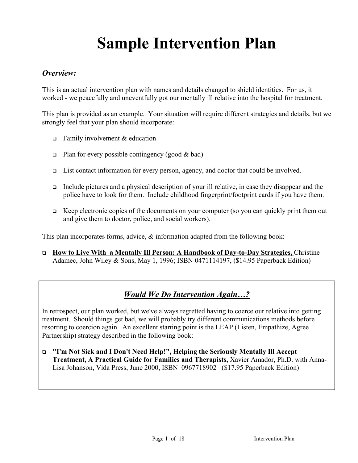# **Sample Intervention Plan**

#### *Overview:*

This is an actual intervention plan with names and details changed to shield identities. For us, it worked - we peacefully and uneventfully got our mentally ill relative into the hospital for treatment.

This plan is provided as an example. Your situation will require different strategies and details, but we strongly feel that your plan should incorporate:

- **Family involvement & education**
- **Plan** for every possible contingency (good  $\&$  bad)
- $\Box$  List contact information for every person, agency, and doctor that could be involved.
- Include pictures and a physical description of your ill relative, in case they disappear and the police have to look for them. Include childhood fingerprint/footprint cards if you have them.
- $\Box$  Keep electronic copies of the documents on your computer (so you can quickly print them out and give them to doctor, police, and social workers).

This plan incorporates forms, advice,  $\&$  information adapted from the following book:

 **How to Live With a Mentally Ill Person: A Handbook of Day-to-Day Strategies,** Christine Adamec, John Wiley & Sons, May 1, 1996; ISBN 0471114197, (\$14.95 Paperback Edition)

## *Would We Do Intervention Again…?*

In retrospect, our plan worked, but we've always regretted having to coerce our relative into getting treatment. Should things get bad, we will probably try different communications methods before resorting to coercion again. An excellent starting point is the LEAP (Listen, Empathize, Agree Partnership) strategy described in the following book:

 **"I'm Not Sick and I Don't Need Help!", Helping the Seriously Mentally Ill Accept Treatment, A Practical Guide for Families and Therapists,** Xavier Amador, Ph.D. with Anna-Lisa Johanson, Vida Press, June 2000, ISBN 0967718902 (\$17.95 Paperback Edition)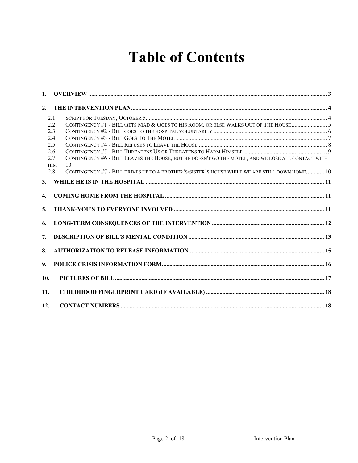# **Table of Contents**

| 1.               |                   |                                                                                                         |  |
|------------------|-------------------|---------------------------------------------------------------------------------------------------------|--|
| 2.               |                   |                                                                                                         |  |
|                  | 2.1               |                                                                                                         |  |
|                  | 2.2               |                                                                                                         |  |
|                  | 2.3               |                                                                                                         |  |
|                  | 2.4               |                                                                                                         |  |
|                  | 2.5               |                                                                                                         |  |
|                  | 2.6               |                                                                                                         |  |
|                  | 2.7<br><b>HIM</b> | CONTINGENCY #6 - BILL LEAVES THE HOUSE, BUT HE DOESN'T GO THE MOTEL, AND WE LOSE ALL CONTACT WITH<br>10 |  |
|                  | 2.8               | CONTINGENCY #7 - BILL DRIVES UP TO A BROTHER'S/SISTER'S HOUSE WHILE WE ARE STILL DOWN HOME 10           |  |
| 3.               |                   |                                                                                                         |  |
| $\overline{4}$ . |                   |                                                                                                         |  |
| 5.               |                   |                                                                                                         |  |
| 6.               |                   |                                                                                                         |  |
| 7.               |                   |                                                                                                         |  |
| 8.               |                   |                                                                                                         |  |
| 9.               |                   |                                                                                                         |  |
| 10.              |                   |                                                                                                         |  |
| 11.              |                   |                                                                                                         |  |
| 12.              |                   |                                                                                                         |  |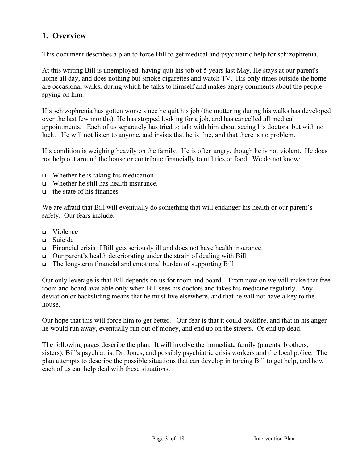#### **1. Overview**

This document describes a plan to force Bill to get medical and psychiatric help for schizophrenia.

At this writing Bill is unemployed, having quit his job of 5 years last May. He stays at our parent's home all day, and does nothing but smoke cigarettes and watch TV. His only times outside the home are occasional walks, during which he talks to himself and makes angry comments about the people spying on him.

His schizophrenia has gotten worse since he quit his job (the muttering during his walks has developed over the last few months). He has stopped looking for a job, and has cancelled all medical appointments. Each of us separately has tried to talk with him about seeing his doctors, but with no luck. He will not listen to anyone, and insists that he is fine, and that there is no problem.

His condition is weighing heavily on the family. He is often angry, though he is not violent. He does not help out around the house or contribute financially to utilities or food. We do not know:

- $\Box$  Whether he is taking his medication
- Whether he still has health insurance.
- $\Box$  the state of his finances

We are afraid that Bill will eventually do something that will endanger his health or our parent's safety. Our fears include:

- Violence
- Suicide
- Financial crisis if Bill gets seriously ill and does not have health insurance.
- $\Box$  Our parent's health deteriorating under the strain of dealing with Bill
- The long-term financial and emotional burden of supporting Bill

Our only leverage is that Bill depends on us for room and board. From now on we will make that free room and board available only when Bill sees his doctors and takes his medicine regularly. Any deviation or backsliding means that he must live elsewhere, and that he will not have a key to the house.

Our hope that this will force him to get better. Our fear is that it could backfire, and that in his anger he would run away, eventually run out of money, and end up on the streets. Or end up dead.

The following pages describe the plan. It will involve the immediate family (parents, brothers, sisters), Bill's psychiatrist Dr. Jones, and possibly psychiatric crisis workers and the local police. The plan attempts to describe the possible situations that can develop in forcing Bill to get help, and how each of us can help deal with these situations.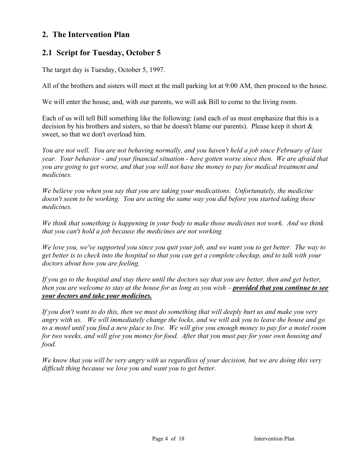#### **2. The Intervention Plan**

#### **2.1 Script for Tuesday, October 5**

The target day is Tuesday, October 5, 1997.

All of the brothers and sisters will meet at the mall parking lot at 9:00 AM, then proceed to the house.

We will enter the house, and, with our parents, we will ask Bill to come to the living room.

Each of us will tell Bill something like the following: (and each of us must emphasize that this is a decision by his brothers and sisters, so that he doesn't blame our parents). Please keep it short & sweet, so that we don't overload him.

*You are not well. You are not behaving normally, and you haven't held a job since February of last year. Your behavior - and your financial situation - have gotten worse since then. We are afraid that you are going to get worse, and that you will not have the money to pay for medical treatment and medicines.*

*We believe you when you say that you are taking your medications. Unfortunately, the medicine doesn't seem to be working. You are acting the same way you did before you started taking these medicines.*

*We think that something is happening in your body to make those medicines not work. And we think that you can't hold a job because the medicines are not working.*

*We love you, we've supported you since you quit your job, and we want you to get better. The way to get better is to check into the hospital so that you can get a complete checkup, and to talk with your doctors about how you are feeling.*

*If you go to the hospital and stay there until the doctors say that you are better, then and get better, then you are welcome to stay at the house for as long as you wish – <i>provided that you continue to see your doctors and take your medicines.*

*If you don't want to do this, then we must do something that will deeply hurt us and make you very angry with us. We will immediately change the locks, and we will ask you to leave the house and go to a motel until you find a new place to live. We will give you enough money to pay for a motel room for two weeks, and will give you money for food. After that you must pay for your own housing and food.*

*We know that you will be very angry with us regardless of your decision, but we are doing this very difficult thing because we love you and want you to get better.*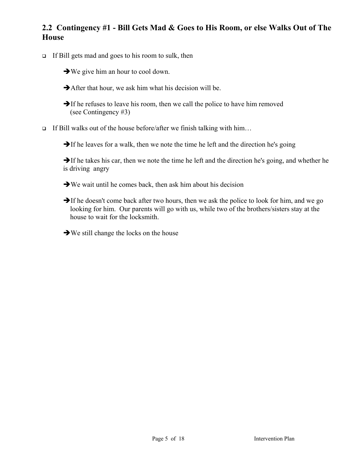### **2.2 Contingency #1 - Bill Gets Mad & Goes to His Room, or else Walks Out of The House**

- $\Box$  If Bill gets mad and goes to his room to sulk, then
	- $\rightarrow$  We give him an hour to cool down.
	- $\rightarrow$  After that hour, we ask him what his decision will be.
	- $\rightarrow$  If he refuses to leave his room, then we call the police to have him removed (see Contingency #3)
- If Bill walks out of the house before/after we finish talking with him...

 $\rightarrow$  If he leaves for a walk, then we note the time he left and the direction he's going

 $\rightarrow$  If he takes his car, then we note the time he left and the direction he's going, and whether he is driving angry

- $\rightarrow$  We wait until he comes back, then ask him about his decision
- $\rightarrow$  If he doesn't come back after two hours, then we ask the police to look for him, and we go looking for him. Our parents will go with us, while two of the brothers/sisters stay at the house to wait for the locksmith.
- $\rightarrow$  We still change the locks on the house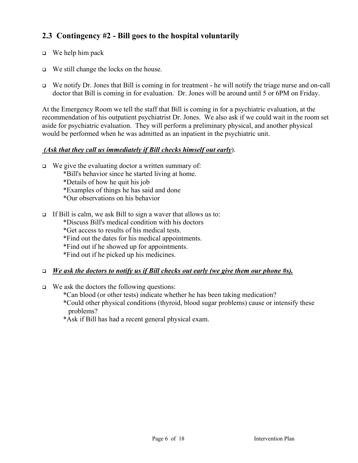### **2.3 Contingency #2 - Bill goes to the hospital voluntarily**

- $\Box$  We help him pack
- $\Box$  We still change the locks on the house.
- We notify Dr. Jones that Bill is coming in for treatment he will notify the triage nurse and on-call doctor that Bill is coming in for evaluation. Dr. Jones will be around until 5 or 6PM on Friday.

At the Emergency Room we tell the staff that Bill is coming in for a psychiatric evaluation, at the recommendation of his outpatient psychiatrist Dr. Jones. We also ask if we could wait in the room set aside for psychiatric evaluation. They will perform a preliminary physical, and another physical would be performed when he was admitted as an inpatient in the psychiatric unit.

#### *(Ask that they call us immediately if Bill checks himself out early*).

- $\Box$  We give the evaluating doctor a written summary of:
	- \*Bill's behavior since he started living at home.
	- \*Details of how he quit his job
	- \*Examples of things he has said and done
	- \*Our observations on his behavior
- If Bill is calm, we ask Bill to sign a waver that allows us to:
	- \*Discuss Bill's medical condition with his doctors
	- \*Get access to results of his medical tests.
	- \*Find out the dates for his medical appointments.
	- \*Find out if he showed up for appointments.
	- \*Find out if he picked up his medicines.

#### *We ask the doctors to notify us if Bill checks out early (we give them our phone #s).*

- $\Box$  We ask the doctors the following questions:
	- \*Can blood (or other tests) indicate whether he has been taking medication?
	- \*Could other physical conditions (thyroid, blood sugar problems) cause or intensify these problems?
	- \*Ask if Bill has had a recent general physical exam.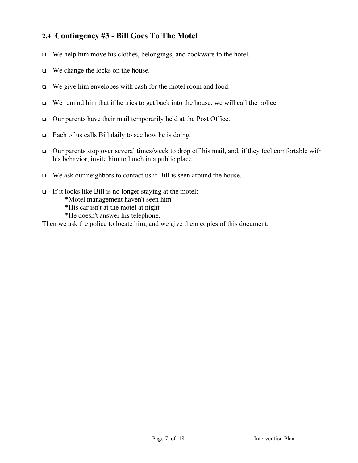#### **2.4 Contingency #3 - Bill Goes To The Motel**

- $\Box$  We help him move his clothes, belongings, and cookware to the hotel.
- □ We change the locks on the house.
- □ We give him envelopes with cash for the motel room and food.
- $\Box$  We remind him that if he tries to get back into the house, we will call the police.
- $\Box$  Our parents have their mail temporarily held at the Post Office.
- $\Box$  Each of us calls Bill daily to see how he is doing.
- $\Box$  Our parents stop over several times/week to drop off his mail, and, if they feel comfortable with his behavior, invite him to lunch in a public place.
- $\Box$  We ask our neighbors to contact us if Bill is seen around the house.
- If it looks like Bill is no longer staying at the motel: \*Motel management haven't seen him \*His car isn't at the motel at night \*He doesn't answer his telephone.

Then we ask the police to locate him, and we give them copies of this document.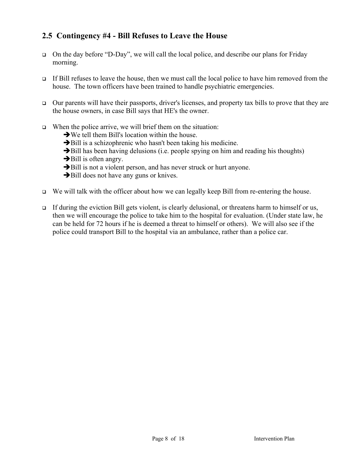#### **2.5 Contingency #4 - Bill Refuses to Leave the House**

- On the day before "D-Day", we will call the local police, and describe our plans for Friday morning.
- If Bill refuses to leave the house, then we must call the local police to have him removed from the house. The town officers have been trained to handle psychiatric emergencies.
- $\Box$  Our parents will have their passports, driver's licenses, and property tax bills to prove that they are the house owners, in case Bill says that HE's the owner.
- $\Box$  When the police arrive, we will brief them on the situation:
	- $\rightarrow$  We tell them Bill's location within the house.
	- $\rightarrow$ Bill is a schizophrenic who hasn't been taking his medicine.
	- $\rightarrow$ Bill has been having delusions (i.e. people spying on him and reading his thoughts)
	- $\rightarrow$ Bill is often angry.
	- $\rightarrow$  Bill is not a violent person, and has never struck or hurt anyone.
	- $\rightarrow$ Bill does not have any guns or knives.
- $\Box$  We will talk with the officer about how we can legally keep Bill from re-entering the house.
- If during the eviction Bill gets violent, is clearly delusional, or threatens harm to himself or us, then we will encourage the police to take him to the hospital for evaluation. (Under state law, he can be held for 72 hours if he is deemed a threat to himself or others). We will also see if the police could transport Bill to the hospital via an ambulance, rather than a police car.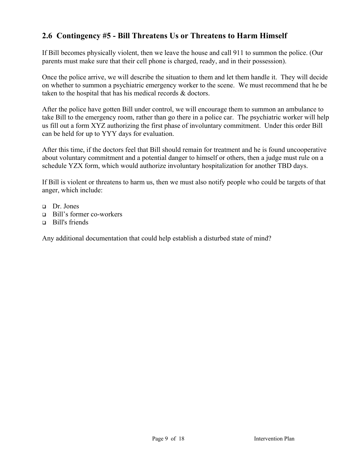### **2.6 Contingency #5 - Bill Threatens Us or Threatens to Harm Himself**

If Bill becomes physically violent, then we leave the house and call 911 to summon the police. (Our parents must make sure that their cell phone is charged, ready, and in their possession).

Once the police arrive, we will describe the situation to them and let them handle it. They will decide on whether to summon a psychiatric emergency worker to the scene. We must recommend that he be taken to the hospital that has his medical records & doctors.

After the police have gotten Bill under control, we will encourage them to summon an ambulance to take Bill to the emergency room, rather than go there in a police car. The psychiatric worker will help us fill out a form XYZ authorizing the first phase of involuntary commitment. Under this order Bill can be held for up to YYY days for evaluation.

After this time, if the doctors feel that Bill should remain for treatment and he is found uncooperative about voluntary commitment and a potential danger to himself or others, then a judge must rule on a schedule YZX form, which would authorize involuntary hospitalization for another TBD days.

If Bill is violent or threatens to harm us, then we must also notify people who could be targets of that anger, which include:

- Dr. Jones
- Bill's former co-workers
- $\Box$  Bill's friends

Any additional documentation that could help establish a disturbed state of mind?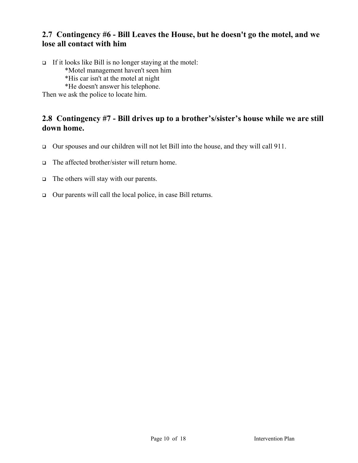#### **2.7 Contingency #6 - Bill Leaves the House, but he doesn't go the motel, and we lose all contact with him**

If it looks like Bill is no longer staying at the motel: \*Motel management haven't seen him \*His car isn't at the motel at night \*He doesn't answer his telephone. Then we ask the police to locate him.

#### **2.8 Contingency #7 - Bill drives up to a brother's/sister's house while we are still down home.**

- Our spouses and our children will not let Bill into the house, and they will call 911.
- The affected brother/sister will return home.
- $\Box$  The others will stay with our parents.
- Our parents will call the local police, in case Bill returns.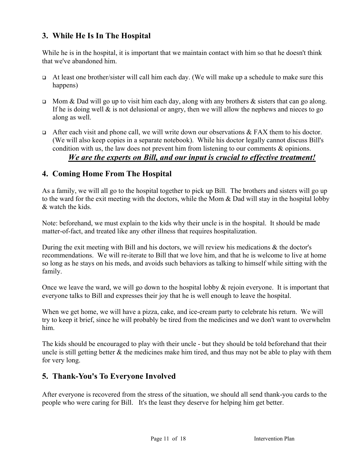#### **3. While He Is In The Hospital**

While he is in the hospital, it is important that we maintain contact with him so that he doesn't think that we've abandoned him.

- At least one brother/sister will call him each day. (We will make up a schedule to make sure this happens)
- $\Box$  Mom & Dad will go up to visit him each day, along with any brothers & sisters that can go along. If he is doing well  $\&$  is not delusional or angry, then we will allow the nephews and nieces to go along as well.
- After each visit and phone call, we will write down our observations  $& FAST$  them to his doctor. (We will also keep copies in a separate notebook). While his doctor legally cannot discuss Bill's condition with us, the law does not prevent him from listening to our comments & opinions. *We are the experts on Bill, and our input is crucial to effective treatment!*

#### **4. Coming Home From The Hospital**

As a family, we will all go to the hospital together to pick up Bill. The brothers and sisters will go up to the ward for the exit meeting with the doctors, while the Mom & Dad will stay in the hospital lobby & watch the kids.

Note: beforehand, we must explain to the kids why their uncle is in the hospital. It should be made matter-of-fact, and treated like any other illness that requires hospitalization.

During the exit meeting with Bill and his doctors, we will review his medications & the doctor's recommendations. We will re-iterate to Bill that we love him, and that he is welcome to live at home so long as he stays on his meds, and avoids such behaviors as talking to himself while sitting with the family.

Once we leave the ward, we will go down to the hospital lobby & rejoin everyone. It is important that everyone talks to Bill and expresses their joy that he is well enough to leave the hospital.

When we get home, we will have a pizza, cake, and ice-cream party to celebrate his return. We will try to keep it brief, since he will probably be tired from the medicines and we don't want to overwhelm him.

The kids should be encouraged to play with their uncle - but they should be told beforehand that their uncle is still getting better  $\&$  the medicines make him tired, and thus may not be able to play with them for very long.

#### **5. Thank-You's To Everyone Involved**

After everyone is recovered from the stress of the situation, we should all send thank-you cards to the people who were caring for Bill. It's the least they deserve for helping him get better.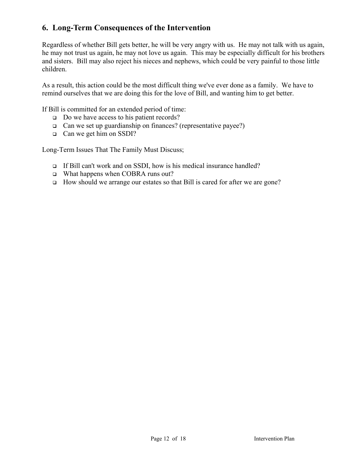#### **6. Long-Term Consequences of the Intervention**

Regardless of whether Bill gets better, he will be very angry with us. He may not talk with us again, he may not trust us again, he may not love us again. This may be especially difficult for his brothers and sisters. Bill may also reject his nieces and nephews, which could be very painful to those little children.

As a result, this action could be the most difficult thing we've ever done as a family. We have to remind ourselves that we are doing this for the love of Bill, and wanting him to get better.

If Bill is committed for an extended period of time:

- □ Do we have access to his patient records?
- $\Box$  Can we set up guardianship on finances? (representative payee?)
- □ Can we get him on SSDI?

Long-Term Issues That The Family Must Discuss;

- If Bill can't work and on SSDI, how is his medical insurance handled?
- What happens when COBRA runs out?
- How should we arrange our estates so that Bill is cared for after we are gone?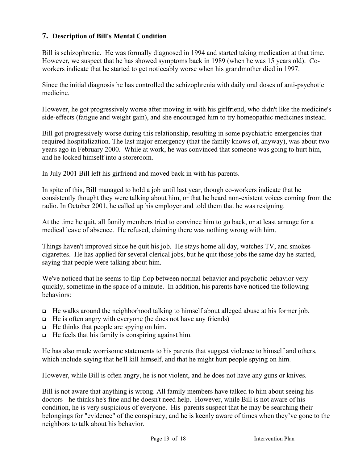#### **7. Description of Bill's Mental Condition**

Bill is schizophrenic. He was formally diagnosed in 1994 and started taking medication at that time. However, we suspect that he has showed symptoms back in 1989 (when he was 15 years old). Coworkers indicate that he started to get noticeably worse when his grandmother died in 1997.

Since the initial diagnosis he has controlled the schizophrenia with daily oral doses of anti-psychotic medicine.

However, he got progressively worse after moving in with his girlfriend, who didn't like the medicine's side-effects (fatigue and weight gain), and she encouraged him to try homeopathic medicines instead.

Bill got progressively worse during this relationship, resulting in some psychiatric emergencies that required hospitalization. The last major emergency (that the family knows of, anyway), was about two years ago in February 2000. While at work, he was convinced that someone was going to hurt him, and he locked himself into a storeroom.

In July 2001 Bill left his girfriend and moved back in with his parents.

In spite of this, Bill managed to hold a job until last year, though co-workers indicate that he consistently thought they were talking about him, or that he heard non-existent voices coming from the radio. In October 2001, he called up his employer and told them that he was resigning.

At the time he quit, all family members tried to convince him to go back, or at least arrange for a medical leave of absence. He refused, claiming there was nothing wrong with him.

Things haven't improved since he quit his job. He stays home all day, watches TV, and smokes cigarettes. He has applied for several clerical jobs, but he quit those jobs the same day he started, saying that people were talking about him.

We've noticed that he seems to flip-flop between normal behavior and psychotic behavior very quickly, sometime in the space of a minute. In addition, his parents have noticed the following behaviors:

- He walks around the neighborhood talking to himself about alleged abuse at his former job.
- $\Box$  He is often angry with everyone (he does not have any friends)
- $\Box$  He thinks that people are spying on him.
- $\Box$  He feels that his family is conspiring against him.

He has also made worrisome statements to his parents that suggest violence to himself and others, which include saying that he'll kill himself, and that he might hurt people spying on him.

However, while Bill is often angry, he is not violent, and he does not have any guns or knives.

Bill is not aware that anything is wrong. All family members have talked to him about seeing his doctors - he thinks he's fine and he doesn't need help. However, while Bill is not aware of his condition, he is very suspicious of everyone. His parents suspect that he may be searching their belongings for "evidence" of the conspiracy, and he is keenly aware of times when they've gone to the neighbors to talk about his behavior.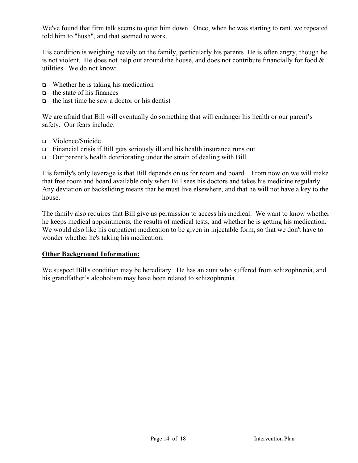We've found that firm talk seems to quiet him down. Once, when he was starting to rant, we repeated told him to "hush", and that seemed to work.

His condition is weighing heavily on the family, particularly his parents He is often angry, though he is not violent. He does not help out around the house, and does not contribute financially for food & utilities. We do not know:

- $\Box$  Whether he is taking his medication
- $\Box$  the state of his finances
- $\Box$  the last time he saw a doctor or his dentist

We are afraid that Bill will eventually do something that will endanger his health or our parent's safety. Our fears include:

- Violence/Suicide
- $\Box$  Financial crisis if Bill gets seriously ill and his health insurance runs out
- $\Box$  Our parent's health deteriorating under the strain of dealing with Bill

His family's only leverage is that Bill depends on us for room and board. From now on we will make that free room and board available only when Bill sees his doctors and takes his medicine regularly. Any deviation or backsliding means that he must live elsewhere, and that he will not have a key to the house.

The family also requires that Bill give us permission to access his medical. We want to know whether he keeps medical appointments, the results of medical tests, and whether he is getting his medication. We would also like his outpatient medication to be given in injectable form, so that we don't have to wonder whether he's taking his medication.

#### **Other Background Information:**

We suspect Bill's condition may be hereditary. He has an aunt who suffered from schizophrenia, and his grandfather's alcoholism may have been related to schizophrenia.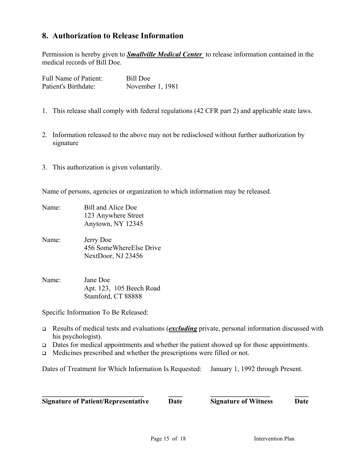#### **8. Authorization to Release Information**

Permission is hereby given to *Smallville Medical Center* to release information contained in the medical records of Bill Doe.

| <b>Full Name of Patient:</b> | <b>Bill Doe</b>  |
|------------------------------|------------------|
| Patient's Birthdate:         | November 1, 1981 |

- 1. This release shall comply with federal regulations (42 CFR part 2) and applicable state laws.
- 2. Information released to the above may not be redisclosed without further authorization by signature
- 3. This authorization is given voluntarily.

Name of persons, agencies or organization to which information may be released.

- Name: Bill and Alice Doe 123 Anywhere Street Anytown, NY 12345
- Name: Jerry Doe 456 SomeWhereElse Drive NextDoor, NJ 23456
- Name: Jane Doe Apt. 123, 105 Beech Road Stamford, CT 88888

Specific Information To Be Released:

- Results of medical tests and evaluations (*excluding* private, personal information discussed with his psychologist).
- $\Box$  Dates for medical appointments and whether the patient showed up for those appointments.
- Medicines prescribed and whether the prescriptions were filled or not.

Dates of Treatment for Which Information Is Requested: January 1, 1992 through Present.

| <b>Signature of Patient/Representative</b> | Date | <b>Signature of Witness</b> | <b>Date</b> |
|--------------------------------------------|------|-----------------------------|-------------|
|                                            |      |                             |             |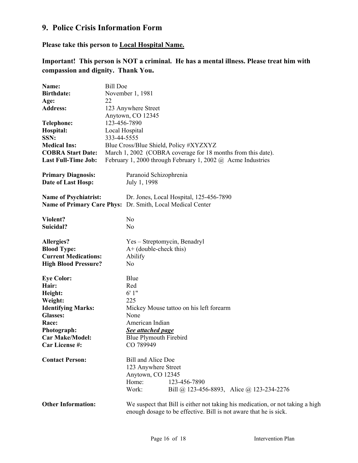### **9. Police Crisis Information Form**

**Please take this person to Local Hospital Name.**

**Important! This person is NOT a criminal. He has a mental illness. Please treat him with compassion and dignity. Thank You.**

| Name:                        | <b>Bill Doe</b> |                                                                                                                                                     |  |  |
|------------------------------|-----------------|-----------------------------------------------------------------------------------------------------------------------------------------------------|--|--|
| <b>Birthdate:</b>            |                 | November 1, 1981                                                                                                                                    |  |  |
| Age:                         | 22              |                                                                                                                                                     |  |  |
| <b>Address:</b>              |                 | 123 Anywhere Street                                                                                                                                 |  |  |
|                              |                 | Anytown, CO 12345                                                                                                                                   |  |  |
| <b>Telephone:</b>            | 123-456-7890    |                                                                                                                                                     |  |  |
| Hospital:                    | Local Hospital  |                                                                                                                                                     |  |  |
| SSN:                         | 333-44-5555     |                                                                                                                                                     |  |  |
|                              |                 |                                                                                                                                                     |  |  |
| <b>Medical Ins:</b>          |                 | Blue Cross/Blue Shield, Policy #XYZXYZ                                                                                                              |  |  |
| <b>COBRA Start Date:</b>     |                 | March 1, 2002 (COBRA coverage for 18 months from this date).                                                                                        |  |  |
| <b>Last Full-Time Job:</b>   |                 | February 1, 2000 through February 1, 2002 $\omega$ Acme Industries                                                                                  |  |  |
| <b>Primary Diagnosis:</b>    |                 | Paranoid Schizophrenia                                                                                                                              |  |  |
| Date of Last Hosp:           |                 | July 1, 1998                                                                                                                                        |  |  |
| <b>Name of Psychiatrist:</b> |                 | Dr. Jones, Local Hospital, 125-456-7890                                                                                                             |  |  |
|                              |                 | Name of Primary Care Phys: Dr. Smith, Local Medical Center                                                                                          |  |  |
|                              |                 |                                                                                                                                                     |  |  |
| Violent?                     |                 | N <sub>o</sub>                                                                                                                                      |  |  |
| Suicidal?                    |                 | N <sub>o</sub>                                                                                                                                      |  |  |
| Allergies?                   |                 | Yes – Streptomycin, Benadryl                                                                                                                        |  |  |
| <b>Blood Type:</b>           |                 | $A+$ (double-check this)                                                                                                                            |  |  |
| <b>Current Medications:</b>  |                 | Abilify                                                                                                                                             |  |  |
| <b>High Blood Pressure?</b>  |                 | No                                                                                                                                                  |  |  |
| <b>Eye Color:</b>            |                 | Blue                                                                                                                                                |  |  |
| Hair:                        |                 | Red                                                                                                                                                 |  |  |
| Height:                      |                 | 6'1"                                                                                                                                                |  |  |
| Weight:                      |                 | 225                                                                                                                                                 |  |  |
| <b>Identifying Marks:</b>    |                 | Mickey Mouse tattoo on his left forearm                                                                                                             |  |  |
| <b>Glasses:</b>              |                 | None                                                                                                                                                |  |  |
| Race:                        |                 | American Indian                                                                                                                                     |  |  |
| Photograph:                  |                 | See attached page                                                                                                                                   |  |  |
| <b>Car Make/Model:</b>       |                 | Blue Plymouth Firebird                                                                                                                              |  |  |
| Car License #:               |                 | CO 789949                                                                                                                                           |  |  |
|                              |                 |                                                                                                                                                     |  |  |
| <b>Contact Person:</b>       |                 | <b>Bill and Alice Doe</b>                                                                                                                           |  |  |
|                              |                 | 123 Anywhere Street                                                                                                                                 |  |  |
|                              |                 | Anytown, CO 12345                                                                                                                                   |  |  |
|                              |                 | Home:<br>123-456-7890                                                                                                                               |  |  |
|                              |                 | Work:<br>Bill @ 123-456-8893, Alice @ 123-234-2276                                                                                                  |  |  |
| <b>Other Information:</b>    |                 | We suspect that Bill is either not taking his medication, or not taking a high<br>enough dosage to be effective. Bill is not aware that he is sick. |  |  |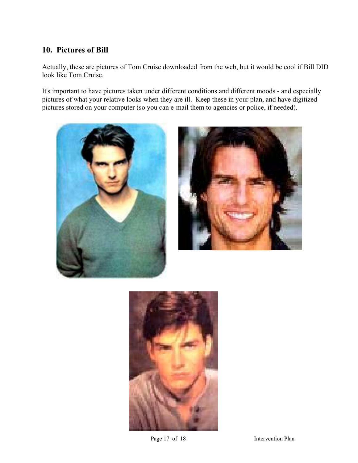#### **10. Pictures of Bill**

Actually, these are pictures of Tom Cruise downloaded from the web, but it would be cool if Bill DID look like Tom Cruise.

It's important to have pictures taken under different conditions and different moods - and especially pictures of what your relative looks when they are ill. Keep these in your plan, and have digitized pictures stored on your computer (so you can e-mail them to agencies or police, if needed).